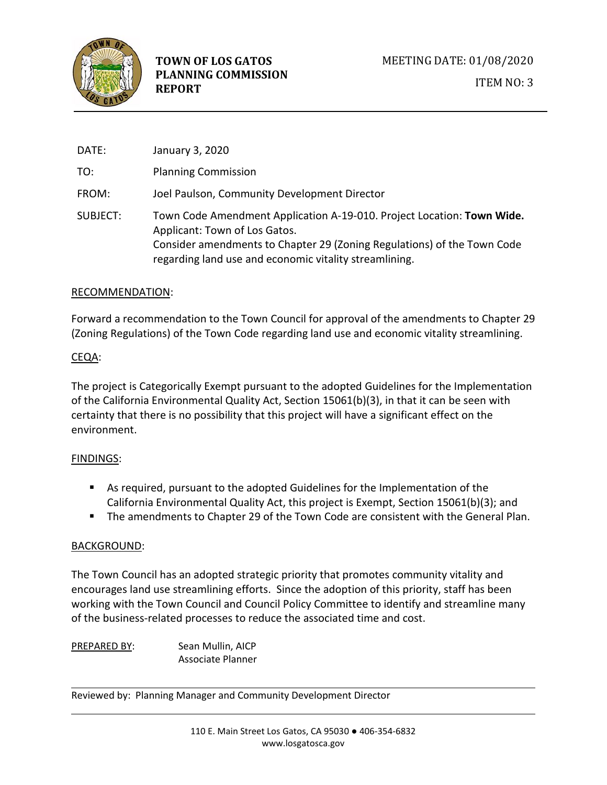

| DATE:    | January 3, 2020                                                                                                                                                                                                                              |
|----------|----------------------------------------------------------------------------------------------------------------------------------------------------------------------------------------------------------------------------------------------|
| TO:      | <b>Planning Commission</b>                                                                                                                                                                                                                   |
| FROM:    | Joel Paulson, Community Development Director                                                                                                                                                                                                 |
| SUBJECT: | Town Code Amendment Application A-19-010. Project Location: Town Wide.<br>Applicant: Town of Los Gatos.<br>Consider amendments to Chapter 29 (Zoning Regulations) of the Town Code<br>regarding land use and economic vitality streamlining. |

#### RECOMMENDATION:

Forward a recommendation to the Town Council for approval of the amendments to Chapter 29 (Zoning Regulations) of the Town Code regarding land use and economic vitality streamlining.

# CEQA:

The project is Categorically Exempt pursuant to the adopted Guidelines for the Implementation of the California Environmental Quality Act, Section 15061(b)(3), in that it can be seen with certainty that there is no possibility that this project will have a significant effect on the environment.

# FINDINGS:

- As required, pursuant to the adopted Guidelines for the Implementation of the California Environmental Quality Act, this project is Exempt, Section 15061(b)(3); and
- The amendments to Chapter 29 of the Town Code are consistent with the General Plan.

# BACKGROUND:

The Town Council has an adopted strategic priority that promotes community vitality and encourages land use streamlining efforts. Since the adoption of this priority, staff has been working with the Town Council and Council Policy Committee to identify and streamline many of the business-related processes to reduce the associated time and cost.

PREPARED BY: Sean Mullin, AICP Associate Planner

Reviewed by: Planning Manager and Community Development Director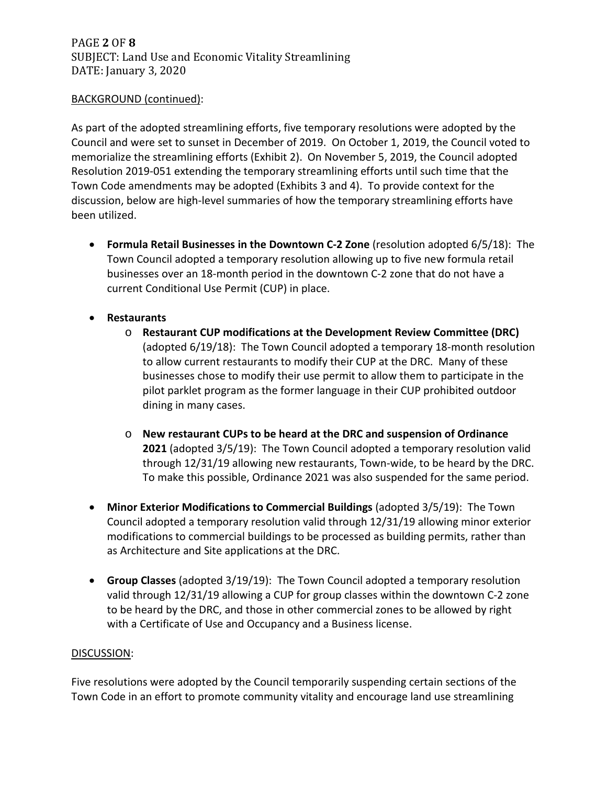# PAGE **2** OF **8** SUBJECT: Land Use and Economic Vitality Streamlining DATE: January 3, 2020

### BACKGROUND (continued):

As part of the adopted streamlining efforts, five temporary resolutions were adopted by the Council and were set to sunset in December of 2019. On October 1, 2019, the Council voted to memorialize the streamlining efforts (Exhibit 2). On November 5, 2019, the Council adopted Resolution 2019-051 extending the temporary streamlining efforts until such time that the Town Code amendments may be adopted (Exhibits 3 and 4). To provide context for the discussion, below are high-level summaries of how the temporary streamlining efforts have been utilized.

- **Formula Retail Businesses in the Downtown C-2 Zone** (resolution adopted 6/5/18): The Town Council adopted a temporary resolution allowing up to five new formula retail businesses over an 18-month period in the downtown C-2 zone that do not have a current Conditional Use Permit (CUP) in place.
- **Restaurants** 
	- o **Restaurant CUP modifications at the Development Review Committee (DRC)**  (adopted 6/19/18): The Town Council adopted a temporary 18-month resolution to allow current restaurants to modify their CUP at the DRC. Many of these businesses chose to modify their use permit to allow them to participate in the pilot parklet program as the former language in their CUP prohibited outdoor dining in many cases.
	- o **New restaurant CUPs to be heard at the DRC and suspension of Ordinance 2021** (adopted 3/5/19): The Town Council adopted a temporary resolution valid through 12/31/19 allowing new restaurants, Town-wide, to be heard by the DRC. To make this possible, Ordinance 2021 was also suspended for the same period.
- **Minor Exterior Modifications to Commercial Buildings** (adopted 3/5/19): The Town Council adopted a temporary resolution valid through 12/31/19 allowing minor exterior modifications to commercial buildings to be processed as building permits, rather than as Architecture and Site applications at the DRC.
- **Group Classes** (adopted 3/19/19): The Town Council adopted a temporary resolution valid through 12/31/19 allowing a CUP for group classes within the downtown C-2 zone to be heard by the DRC, and those in other commercial zones to be allowed by right with a Certificate of Use and Occupancy and a Business license.

#### DISCUSSION:

Five resolutions were adopted by the Council temporarily suspending certain sections of the Town Code in an effort to promote community vitality and encourage land use streamlining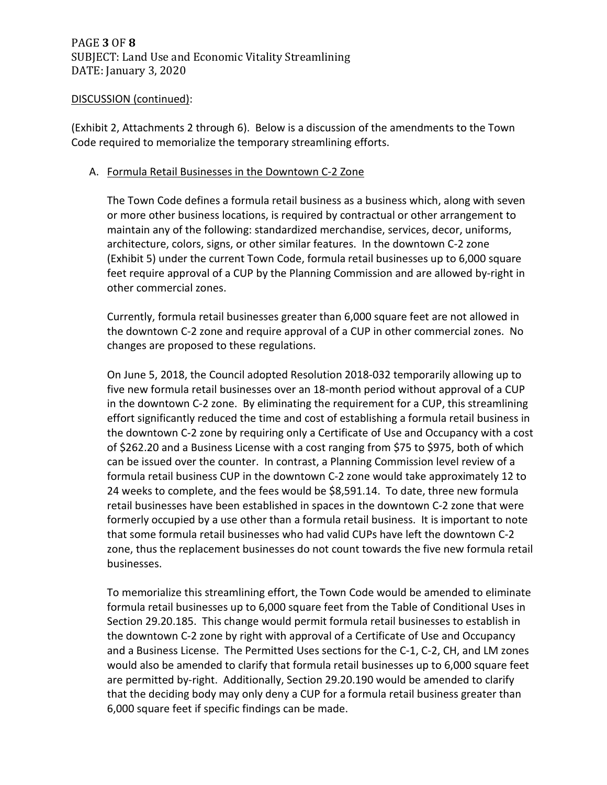(Exhibit 2, Attachments 2 through 6). Below is a discussion of the amendments to the Town Code required to memorialize the temporary streamlining efforts.

### A. Formula Retail Businesses in the Downtown C-2 Zone

The Town Code defines a formula retail business as a business which, along with seven or more other business locations, is required by contractual or other arrangement to maintain any of the following: standardized merchandise, services, decor, uniforms, architecture, colors, signs, or other similar features. In the downtown C-2 zone (Exhibit 5) under the current Town Code, formula retail businesses up to 6,000 square feet require approval of a CUP by the Planning Commission and are allowed by-right in other commercial zones.

Currently, formula retail businesses greater than 6,000 square feet are not allowed in the downtown C-2 zone and require approval of a CUP in other commercial zones. No changes are proposed to these regulations.

On June 5, 2018, the Council adopted Resolution 2018-032 temporarily allowing up to five new formula retail businesses over an 18-month period without approval of a CUP in the downtown C-2 zone. By eliminating the requirement for a CUP, this streamlining effort significantly reduced the time and cost of establishing a formula retail business in the downtown C-2 zone by requiring only a Certificate of Use and Occupancy with a cost of \$262.20 and a Business License with a cost ranging from \$75 to \$975, both of which can be issued over the counter. In contrast, a Planning Commission level review of a formula retail business CUP in the downtown C-2 zone would take approximately 12 to 24 weeks to complete, and the fees would be \$8,591.14. To date, three new formula retail businesses have been established in spaces in the downtown C-2 zone that were formerly occupied by a use other than a formula retail business. It is important to note that some formula retail businesses who had valid CUPs have left the downtown C-2 zone, thus the replacement businesses do not count towards the five new formula retail businesses.

To memorialize this streamlining effort, the Town Code would be amended to eliminate formula retail businesses up to 6,000 square feet from the Table of Conditional Uses in Section 29.20.185. This change would permit formula retail businesses to establish in the downtown C-2 zone by right with approval of a Certificate of Use and Occupancy and a Business License. The Permitted Uses sections for the C-1, C-2, CH, and LM zones would also be amended to clarify that formula retail businesses up to 6,000 square feet are permitted by-right. Additionally, Section 29.20.190 would be amended to clarify that the deciding body may only deny a CUP for a formula retail business greater than 6,000 square feet if specific findings can be made.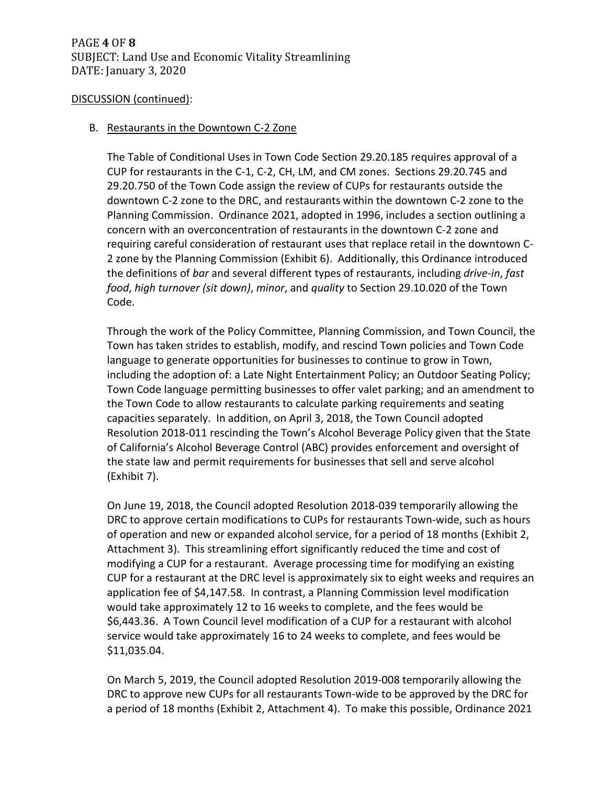### B. Restaurants in the Downtown C-2 Zone

The Table of Conditional Uses in Town Code Section 29.20.185 requires approval of a CUP for restaurants in the C-1, C-2, CH, LM, and CM zones. Sections 29.20.745 and 29.20.750 of the Town Code assign the review of CUPs for restaurants outside the downtown C-2 zone to the DRC, and restaurants within the downtown C-2 zone to the Planning Commission. Ordinance 2021, adopted in 1996, includes a section outlining a concern with an overconcentration of restaurants in the downtown C-2 zone and requiring careful consideration of restaurant uses that replace retail in the downtown C-2 zone by the Planning Commission (Exhibit 6). Additionally, this Ordinance introduced the definitions of *bar* and several different types of restaurants, including *drive-in*, *fast food*, *high turnover (sit down)*, *minor*, and *quality* to Section 29.10.020 of the Town Code.

Through the work of the Policy Committee, Planning Commission, and Town Council, the Town has taken strides to establish, modify, and rescind Town policies and Town Code language to generate opportunities for businesses to continue to grow in Town, including the adoption of: a Late Night Entertainment Policy; an Outdoor Seating Policy; Town Code language permitting businesses to offer valet parking; and an amendment to the Town Code to allow restaurants to calculate parking requirements and seating capacities separately. In addition, on April 3, 2018, the Town Council adopted Resolution 2018-011 rescinding the Town's Alcohol Beverage Policy given that the State of California's Alcohol Beverage Control (ABC) provides enforcement and oversight of the state law and permit requirements for businesses that sell and serve alcohol (Exhibit 7).

On June 19, 2018, the Council adopted Resolution 2018-039 temporarily allowing the DRC to approve certain modifications to CUPs for restaurants Town-wide, such as hours of operation and new or expanded alcohol service, for a period of 18 months (Exhibit 2, Attachment 3). This streamlining effort significantly reduced the time and cost of modifying a CUP for a restaurant. Average processing time for modifying an existing CUP for a restaurant at the DRC level is approximately six to eight weeks and requires an application fee of \$4,147.58. In contrast, a Planning Commission level modification would take approximately 12 to 16 weeks to complete, and the fees would be \$6,443.36. A Town Council level modification of a CUP for a restaurant with alcohol service would take approximately 16 to 24 weeks to complete, and fees would be \$11,035.04.

On March 5, 2019, the Council adopted Resolution 2019-008 temporarily allowing the DRC to approve new CUPs for all restaurants Town-wide to be approved by the DRC for a period of 18 months (Exhibit 2, Attachment 4). To make this possible, Ordinance 2021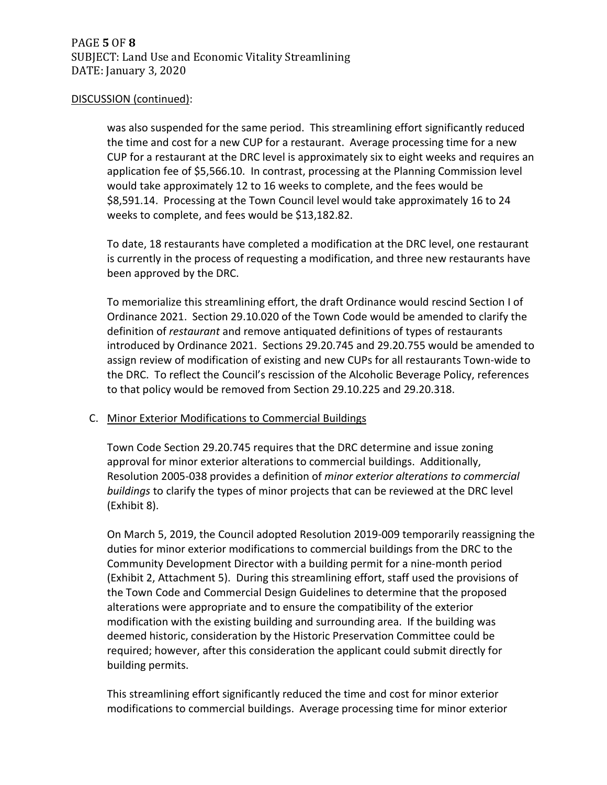was also suspended for the same period. This streamlining effort significantly reduced the time and cost for a new CUP for a restaurant. Average processing time for a new CUP for a restaurant at the DRC level is approximately six to eight weeks and requires an application fee of \$5,566.10. In contrast, processing at the Planning Commission level would take approximately 12 to 16 weeks to complete, and the fees would be \$8,591.14. Processing at the Town Council level would take approximately 16 to 24 weeks to complete, and fees would be \$13,182.82.

To date, 18 restaurants have completed a modification at the DRC level, one restaurant is currently in the process of requesting a modification, and three new restaurants have been approved by the DRC.

To memorialize this streamlining effort, the draft Ordinance would rescind Section I of Ordinance 2021. Section 29.10.020 of the Town Code would be amended to clarify the definition of *restaurant* and remove antiquated definitions of types of restaurants introduced by Ordinance 2021. Sections 29.20.745 and 29.20.755 would be amended to assign review of modification of existing and new CUPs for all restaurants Town-wide to the DRC. To reflect the Council's rescission of the Alcoholic Beverage Policy, references to that policy would be removed from Section 29.10.225 and 29.20.318.

# C. Minor Exterior Modifications to Commercial Buildings

Town Code Section 29.20.745 requires that the DRC determine and issue zoning approval for minor exterior alterations to commercial buildings. Additionally, Resolution 2005-038 provides a definition of *minor exterior alterations to commercial buildings* to clarify the types of minor projects that can be reviewed at the DRC level (Exhibit 8).

On March 5, 2019, the Council adopted Resolution 2019-009 temporarily reassigning the duties for minor exterior modifications to commercial buildings from the DRC to the Community Development Director with a building permit for a nine-month period (Exhibit 2, Attachment 5). During this streamlining effort, staff used the provisions of the Town Code and Commercial Design Guidelines to determine that the proposed alterations were appropriate and to ensure the compatibility of the exterior modification with the existing building and surrounding area. If the building was deemed historic, consideration by the Historic Preservation Committee could be required; however, after this consideration the applicant could submit directly for building permits.

This streamlining effort significantly reduced the time and cost for minor exterior modifications to commercial buildings. Average processing time for minor exterior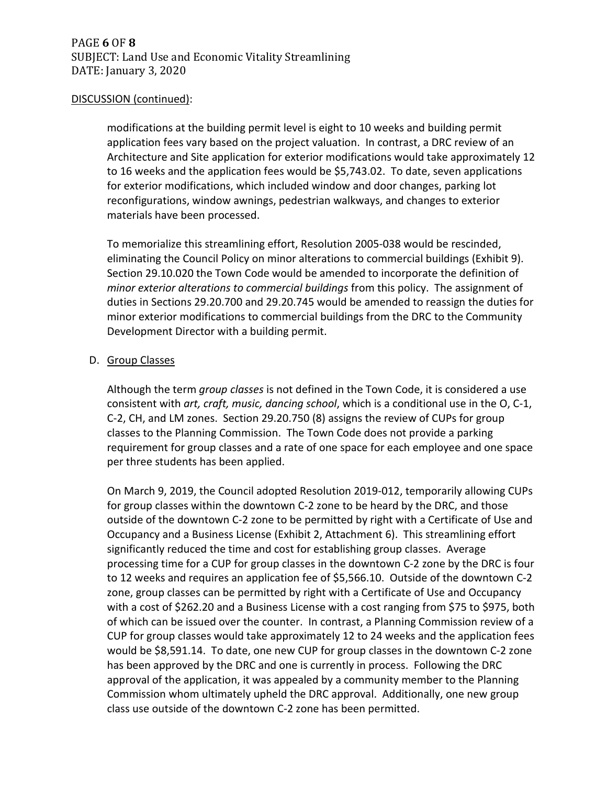modifications at the building permit level is eight to 10 weeks and building permit application fees vary based on the project valuation. In contrast, a DRC review of an Architecture and Site application for exterior modifications would take approximately 12 to 16 weeks and the application fees would be \$5,743.02. To date, seven applications for exterior modifications, which included window and door changes, parking lot reconfigurations, window awnings, pedestrian walkways, and changes to exterior materials have been processed.

To memorialize this streamlining effort, Resolution 2005-038 would be rescinded, eliminating the Council Policy on minor alterations to commercial buildings (Exhibit 9). Section 29.10.020 the Town Code would be amended to incorporate the definition of *minor exterior alterations to commercial buildings* from this policy. The assignment of duties in Sections 29.20.700 and 29.20.745 would be amended to reassign the duties for minor exterior modifications to commercial buildings from the DRC to the Community Development Director with a building permit.

# D. Group Classes

Although the term *group classes* is not defined in the Town Code, it is considered a use consistent with *art, craft, music, dancing school*, which is a conditional use in the O, C-1, C-2, CH, and LM zones. Section 29.20.750 (8) assigns the review of CUPs for group classes to the Planning Commission. The Town Code does not provide a parking requirement for group classes and a rate of one space for each employee and one space per three students has been applied.

On March 9, 2019, the Council adopted Resolution 2019-012, temporarily allowing CUPs for group classes within the downtown C-2 zone to be heard by the DRC, and those outside of the downtown C-2 zone to be permitted by right with a Certificate of Use and Occupancy and a Business License (Exhibit 2, Attachment 6). This streamlining effort significantly reduced the time and cost for establishing group classes. Average processing time for a CUP for group classes in the downtown C-2 zone by the DRC is four to 12 weeks and requires an application fee of \$5,566.10. Outside of the downtown C-2 zone, group classes can be permitted by right with a Certificate of Use and Occupancy with a cost of \$262.20 and a Business License with a cost ranging from \$75 to \$975, both of which can be issued over the counter. In contrast, a Planning Commission review of a CUP for group classes would take approximately 12 to 24 weeks and the application fees would be \$8,591.14. To date, one new CUP for group classes in the downtown C-2 zone has been approved by the DRC and one is currently in process. Following the DRC approval of the application, it was appealed by a community member to the Planning Commission whom ultimately upheld the DRC approval. Additionally, one new group class use outside of the downtown C-2 zone has been permitted.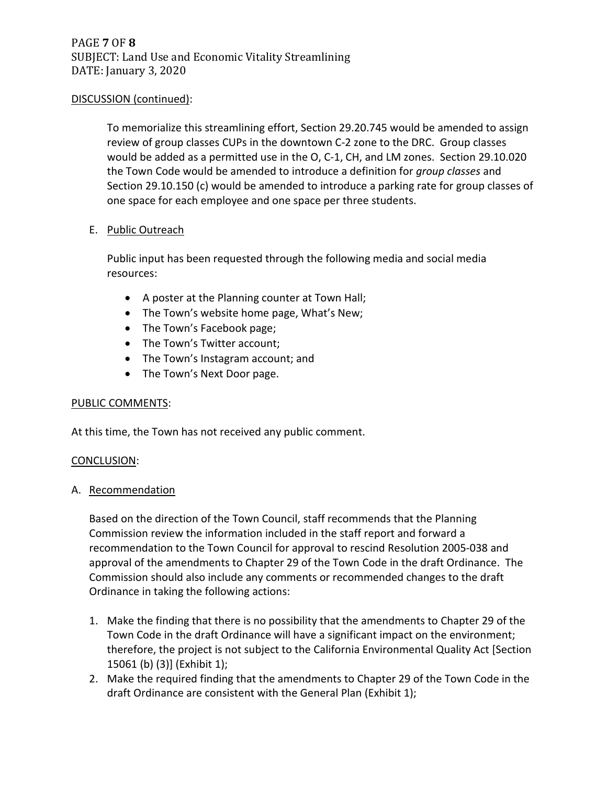To memorialize this streamlining effort, Section 29.20.745 would be amended to assign review of group classes CUPs in the downtown C-2 zone to the DRC. Group classes would be added as a permitted use in the O, C-1, CH, and LM zones. Section 29.10.020 the Town Code would be amended to introduce a definition for *group classes* and Section 29.10.150 (c) would be amended to introduce a parking rate for group classes of one space for each employee and one space per three students.

#### E. Public Outreach

Public input has been requested through the following media and social media resources:

- A poster at the Planning counter at Town Hall;
- The Town's website home page, What's New;
- The Town's Facebook page;
- The Town's Twitter account;
- The Town's Instagram account; and
- The Town's Next Door page.

# PUBLIC COMMENTS:

At this time, the Town has not received any public comment.

#### CONCLUSION:

# A. Recommendation

Based on the direction of the Town Council, staff recommends that the Planning Commission review the information included in the staff report and forward a recommendation to the Town Council for approval to rescind Resolution 2005-038 and approval of the amendments to Chapter 29 of the Town Code in the draft Ordinance. The Commission should also include any comments or recommended changes to the draft Ordinance in taking the following actions:

- 1. Make the finding that there is no possibility that the amendments to Chapter 29 of the Town Code in the draft Ordinance will have a significant impact on the environment; therefore, the project is not subject to the California Environmental Quality Act [Section 15061 (b) (3)] (Exhibit 1);
- 2. Make the required finding that the amendments to Chapter 29 of the Town Code in the draft Ordinance are consistent with the General Plan (Exhibit 1);